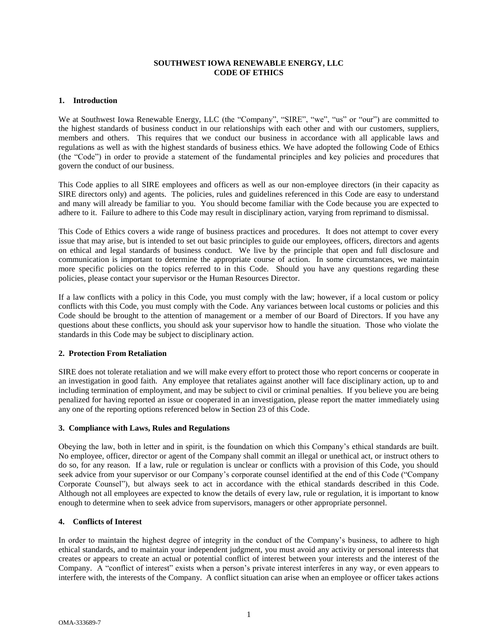## **SOUTHWEST IOWA RENEWABLE ENERGY, LLC CODE OF ETHICS**

#### **1. Introduction**

We at Southwest Iowa Renewable Energy, LLC (the "Company", "SIRE", "we", "us" or "our") are committed to the highest standards of business conduct in our relationships with each other and with our customers, suppliers, members and others. This requires that we conduct our business in accordance with all applicable laws and regulations as well as with the highest standards of business ethics. We have adopted the following Code of Ethics (the "Code") in order to provide a statement of the fundamental principles and key policies and procedures that govern the conduct of our business.

This Code applies to all SIRE employees and officers as well as our non-employee directors (in their capacity as SIRE directors only) and agents. The policies, rules and guidelines referenced in this Code are easy to understand and many will already be familiar to you. You should become familiar with the Code because you are expected to adhere to it. Failure to adhere to this Code may result in disciplinary action, varying from reprimand to dismissal.

This Code of Ethics covers a wide range of business practices and procedures. It does not attempt to cover every issue that may arise, but is intended to set out basic principles to guide our employees, officers, directors and agents on ethical and legal standards of business conduct. We live by the principle that open and full disclosure and communication is important to determine the appropriate course of action. In some circumstances, we maintain more specific policies on the topics referred to in this Code. Should you have any questions regarding these policies, please contact your supervisor or the Human Resources Director.

If a law conflicts with a policy in this Code, you must comply with the law; however, if a local custom or policy conflicts with this Code, you must comply with the Code. Any variances between local customs or policies and this Code should be brought to the attention of management or a member of our Board of Directors. If you have any questions about these conflicts, you should ask your supervisor how to handle the situation. Those who violate the standards in this Code may be subject to disciplinary action.

## **2. Protection From Retaliation**

SIRE does not tolerate retaliation and we will make every effort to protect those who report concerns or cooperate in an investigation in good faith. Any employee that retaliates against another will face disciplinary action, up to and including termination of employment, and may be subject to civil or criminal penalties. If you believe you are being penalized for having reported an issue or cooperated in an investigation, please report the matter immediately using any one of the reporting options referenced below in Section 23 of this Code.

#### **3. Compliance with Laws, Rules and Regulations**

Obeying the law, both in letter and in spirit, is the foundation on which this Company's ethical standards are built. No employee, officer, director or agent of the Company shall commit an illegal or unethical act, or instruct others to do so, for any reason. If a law, rule or regulation is unclear or conflicts with a provision of this Code, you should seek advice from your supervisor or our Company's corporate counsel identified at the end of this Code ("Company Corporate Counsel"), but always seek to act in accordance with the ethical standards described in this Code. Although not all employees are expected to know the details of every law, rule or regulation, it is important to know enough to determine when to seek advice from supervisors, managers or other appropriate personnel.

## **4. Conflicts of Interest**

In order to maintain the highest degree of integrity in the conduct of the Company's business, to adhere to high ethical standards, and to maintain your independent judgment, you must avoid any activity or personal interests that creates or appears to create an actual or potential conflict of interest between your interests and the interest of the Company. A "conflict of interest" exists when a person's private interest interferes in any way, or even appears to interfere with, the interests of the Company. A conflict situation can arise when an employee or officer takes actions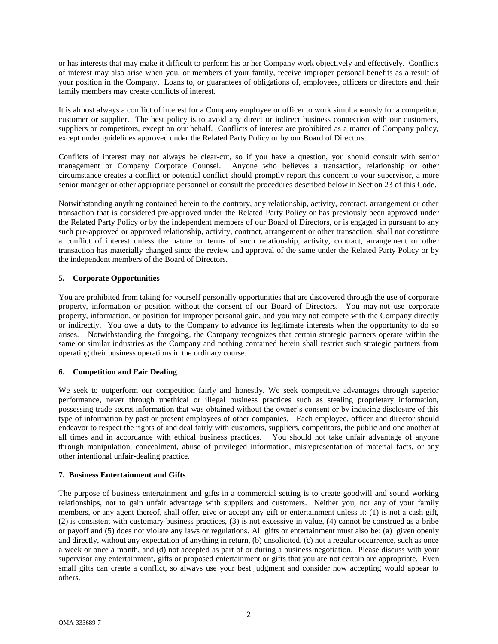or has interests that may make it difficult to perform his or her Company work objectively and effectively. Conflicts of interest may also arise when you, or members of your family, receive improper personal benefits as a result of your position in the Company. Loans to, or guarantees of obligations of, employees, officers or directors and their family members may create conflicts of interest.

It is almost always a conflict of interest for a Company employee or officer to work simultaneously for a competitor, customer or supplier. The best policy is to avoid any direct or indirect business connection with our customers, suppliers or competitors, except on our behalf. Conflicts of interest are prohibited as a matter of Company policy, except under guidelines approved under the Related Party Policy or by our Board of Directors.

Conflicts of interest may not always be clear-cut, so if you have a question, you should consult with senior management or Company Corporate Counsel. Anyone who believes a transaction, relationship or other circumstance creates a conflict or potential conflict should promptly report this concern to your supervisor, a more senior manager or other appropriate personnel or consult the procedures described below in Section 23 of this Code.

Notwithstanding anything contained herein to the contrary, any relationship, activity, contract, arrangement or other transaction that is considered pre-approved under the Related Party Policy or has previously been approved under the Related Party Policy or by the independent members of our Board of Directors, or is engaged in pursuant to any such pre-approved or approved relationship, activity, contract, arrangement or other transaction, shall not constitute a conflict of interest unless the nature or terms of such relationship, activity, contract, arrangement or other transaction has materially changed since the review and approval of the same under the Related Party Policy or by the independent members of the Board of Directors.

# **5. Corporate Opportunities**

You are prohibited from taking for yourself personally opportunities that are discovered through the use of corporate property, information or position without the consent of our Board of Directors. You may not use corporate property, information, or position for improper personal gain, and you may not compete with the Company directly or indirectly. You owe a duty to the Company to advance its legitimate interests when the opportunity to do so arises. Notwithstanding the foregoing, the Company recognizes that certain strategic partners operate within the same or similar industries as the Company and nothing contained herein shall restrict such strategic partners from operating their business operations in the ordinary course.

## **6. Competition and Fair Dealing**

We seek to outperform our competition fairly and honestly. We seek competitive advantages through superior performance, never through unethical or illegal business practices such as stealing proprietary information, possessing trade secret information that was obtained without the owner's consent or by inducing disclosure of this type of information by past or present employees of other companies. Each employee, officer and director should endeavor to respect the rights of and deal fairly with customers, suppliers, competitors, the public and one another at all times and in accordance with ethical business practices. You should not take unfair advantage of anyone through manipulation, concealment, abuse of privileged information, misrepresentation of material facts, or any other intentional unfair-dealing practice.

## **7. Business Entertainment and Gifts**

The purpose of business entertainment and gifts in a commercial setting is to create goodwill and sound working relationships, not to gain unfair advantage with suppliers and customers. Neither you, nor any of your family members, or any agent thereof, shall offer, give or accept any gift or entertainment unless it: (1) is not a cash gift, (2) is consistent with customary business practices, (3) is not excessive in value, (4) cannot be construed as a bribe or payoff and (5) does not violate any laws or regulations. All gifts or entertainment must also be: (a) given openly and directly, without any expectation of anything in return, (b) unsolicited, (c) not a regular occurrence, such as once a week or once a month, and (d) not accepted as part of or during a business negotiation. Please discuss with your supervisor any entertainment, gifts or proposed entertainment or gifts that you are not certain are appropriate. Even small gifts can create a conflict, so always use your best judgment and consider how accepting would appear to others.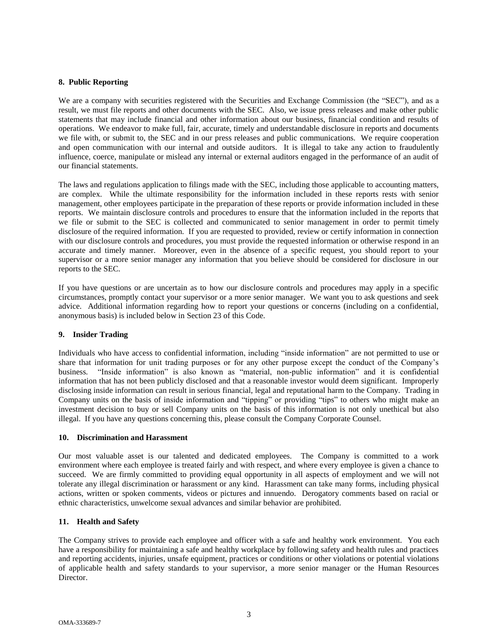#### **8. Public Reporting**

We are a company with securities registered with the Securities and Exchange Commission (the "SEC"), and as a result, we must file reports and other documents with the SEC. Also, we issue press releases and make other public statements that may include financial and other information about our business, financial condition and results of operations. We endeavor to make full, fair, accurate, timely and understandable disclosure in reports and documents we file with, or submit to, the SEC and in our press releases and public communications. We require cooperation and open communication with our internal and outside auditors. It is illegal to take any action to fraudulently influence, coerce, manipulate or mislead any internal or external auditors engaged in the performance of an audit of our financial statements.

The laws and regulations application to filings made with the SEC, including those applicable to accounting matters, are complex. While the ultimate responsibility for the information included in these reports rests with senior management, other employees participate in the preparation of these reports or provide information included in these reports. We maintain disclosure controls and procedures to ensure that the information included in the reports that we file or submit to the SEC is collected and communicated to senior management in order to permit timely disclosure of the required information. If you are requested to provided, review or certify information in connection with our disclosure controls and procedures, you must provide the requested information or otherwise respond in an accurate and timely manner. Moreover, even in the absence of a specific request, you should report to your supervisor or a more senior manager any information that you believe should be considered for disclosure in our reports to the SEC.

If you have questions or are uncertain as to how our disclosure controls and procedures may apply in a specific circumstances, promptly contact your supervisor or a more senior manager. We want you to ask questions and seek advice. Additional information regarding how to report your questions or concerns (including on a confidential, anonymous basis) is included below in Section 23 of this Code.

#### **9. Insider Trading**

Individuals who have access to confidential information, including "inside information" are not permitted to use or share that information for unit trading purposes or for any other purpose except the conduct of the Company's business. "Inside information" is also known as "material, non-public information" and it is confidential information that has not been publicly disclosed and that a reasonable investor would deem significant. Improperly disclosing inside information can result in serious financial, legal and reputational harm to the Company. Trading in Company units on the basis of inside information and "tipping" or providing "tips" to others who might make an investment decision to buy or sell Company units on the basis of this information is not only unethical but also illegal. If you have any questions concerning this, please consult the Company Corporate Counsel.

#### **10. Discrimination and Harassment**

Our most valuable asset is our talented and dedicated employees. The Company is committed to a work environment where each employee is treated fairly and with respect, and where every employee is given a chance to succeed. We are firmly committed to providing equal opportunity in all aspects of employment and we will not tolerate any illegal discrimination or harassment or any kind. Harassment can take many forms, including physical actions, written or spoken comments, videos or pictures and innuendo. Derogatory comments based on racial or ethnic characteristics, unwelcome sexual advances and similar behavior are prohibited.

## **11. Health and Safety**

The Company strives to provide each employee and officer with a safe and healthy work environment. You each have a responsibility for maintaining a safe and healthy workplace by following safety and health rules and practices and reporting accidents, injuries, unsafe equipment, practices or conditions or other violations or potential violations of applicable health and safety standards to your supervisor, a more senior manager or the Human Resources Director.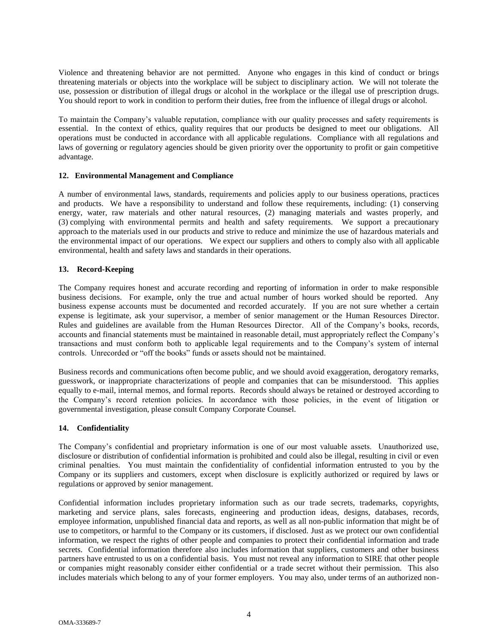Violence and threatening behavior are not permitted. Anyone who engages in this kind of conduct or brings threatening materials or objects into the workplace will be subject to disciplinary action. We will not tolerate the use, possession or distribution of illegal drugs or alcohol in the workplace or the illegal use of prescription drugs. You should report to work in condition to perform their duties, free from the influence of illegal drugs or alcohol.

To maintain the Company's valuable reputation, compliance with our quality processes and safety requirements is essential. In the context of ethics, quality requires that our products be designed to meet our obligations. All operations must be conducted in accordance with all applicable regulations. Compliance with all regulations and laws of governing or regulatory agencies should be given priority over the opportunity to profit or gain competitive advantage.

## **12. Environmental Management and Compliance**

A number of environmental laws, standards, requirements and policies apply to our business operations, practices and products. We have a responsibility to understand and follow these requirements, including: (1) conserving energy, water, raw materials and other natural resources, (2) managing materials and wastes properly, and (3) complying with environmental permits and health and safety requirements. We support a precautionary approach to the materials used in our products and strive to reduce and minimize the use of hazardous materials and the environmental impact of our operations. We expect our suppliers and others to comply also with all applicable environmental, health and safety laws and standards in their operations.

## **13. Record-Keeping**

The Company requires honest and accurate recording and reporting of information in order to make responsible business decisions. For example, only the true and actual number of hours worked should be reported. Any business expense accounts must be documented and recorded accurately. If you are not sure whether a certain expense is legitimate, ask your supervisor, a member of senior management or the Human Resources Director. Rules and guidelines are available from the Human Resources Director. All of the Company's books, records, accounts and financial statements must be maintained in reasonable detail, must appropriately reflect the Company's transactions and must conform both to applicable legal requirements and to the Company's system of internal controls. Unrecorded or "off the books" funds or assets should not be maintained.

Business records and communications often become public, and we should avoid exaggeration, derogatory remarks, guesswork, or inappropriate characterizations of people and companies that can be misunderstood. This applies equally to e-mail, internal memos, and formal reports. Records should always be retained or destroyed according to the Company's record retention policies. In accordance with those policies, in the event of litigation or governmental investigation, please consult Company Corporate Counsel.

## **14. Confidentiality**

The Company's confidential and proprietary information is one of our most valuable assets. Unauthorized use, disclosure or distribution of confidential information is prohibited and could also be illegal, resulting in civil or even criminal penalties. You must maintain the confidentiality of confidential information entrusted to you by the Company or its suppliers and customers, except when disclosure is explicitly authorized or required by laws or regulations or approved by senior management.

Confidential information includes proprietary information such as our trade secrets, trademarks, copyrights, marketing and service plans, sales forecasts, engineering and production ideas, designs, databases, records, employee information, unpublished financial data and reports, as well as all non-public information that might be of use to competitors, or harmful to the Company or its customers, if disclosed. Just as we protect our own confidential information, we respect the rights of other people and companies to protect their confidential information and trade secrets. Confidential information therefore also includes information that suppliers, customers and other business partners have entrusted to us on a confidential basis. You must not reveal any information to SIRE that other people or companies might reasonably consider either confidential or a trade secret without their permission. This also includes materials which belong to any of your former employers. You may also, under terms of an authorized non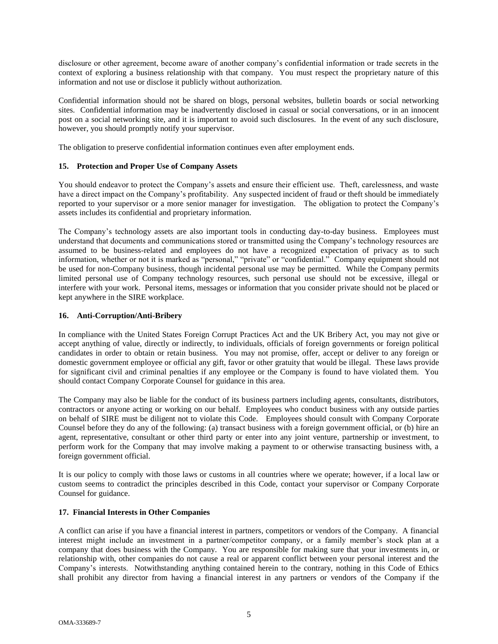disclosure or other agreement, become aware of another company's confidential information or trade secrets in the context of exploring a business relationship with that company. You must respect the proprietary nature of this information and not use or disclose it publicly without authorization.

Confidential information should not be shared on blogs, personal websites, bulletin boards or social networking sites. Confidential information may be inadvertently disclosed in casual or social conversations, or in an innocent post on a social networking site, and it is important to avoid such disclosures. In the event of any such disclosure, however, you should promptly notify your supervisor.

The obligation to preserve confidential information continues even after employment ends.

## **15. Protection and Proper Use of Company Assets**

You should endeavor to protect the Company's assets and ensure their efficient use. Theft, carelessness, and waste have a direct impact on the Company's profitability. Any suspected incident of fraud or theft should be immediately reported to your supervisor or a more senior manager for investigation. The obligation to protect the Company's assets includes its confidential and proprietary information.

The Company's technology assets are also important tools in conducting day-to-day business. Employees must understand that documents and communications stored or transmitted using the Company's technology resources are assumed to be business-related and employees do not have a recognized expectation of privacy as to such information, whether or not it is marked as "personal," "private" or "confidential." Company equipment should not be used for non-Company business, though incidental personal use may be permitted. While the Company permits limited personal use of Company technology resources, such personal use should not be excessive, illegal or interfere with your work. Personal items, messages or information that you consider private should not be placed or kept anywhere in the SIRE workplace.

## **16. Anti-Corruption/Anti-Bribery**

In compliance with the United States Foreign Corrupt Practices Act and the UK Bribery Act, you may not give or accept anything of value, directly or indirectly, to individuals, officials of foreign governments or foreign political candidates in order to obtain or retain business. You may not promise, offer, accept or deliver to any foreign or domestic government employee or official any gift, favor or other gratuity that would be illegal. These laws provide for significant civil and criminal penalties if any employee or the Company is found to have violated them. You should contact Company Corporate Counsel for guidance in this area.

The Company may also be liable for the conduct of its business partners including agents, consultants, distributors, contractors or anyone acting or working on our behalf. Employees who conduct business with any outside parties on behalf of SIRE must be diligent not to violate this Code. Employees should consult with Company Corporate Counsel before they do any of the following: (a) transact business with a foreign government official, or (b) hire an agent, representative, consultant or other third party or enter into any joint venture, partnership or investment, to perform work for the Company that may involve making a payment to or otherwise transacting business with, a foreign government official.

It is our policy to comply with those laws or customs in all countries where we operate; however, if a local law or custom seems to contradict the principles described in this Code, contact your supervisor or Company Corporate Counsel for guidance.

## **17. Financial Interests in Other Companies**

A conflict can arise if you have a financial interest in partners, competitors or vendors of the Company. A financial interest might include an investment in a partner/competitor company, or a family member's stock plan at a company that does business with the Company. You are responsible for making sure that your investments in, or relationship with, other companies do not cause a real or apparent conflict between your personal interest and the Company's interests. Notwithstanding anything contained herein to the contrary, nothing in this Code of Ethics shall prohibit any director from having a financial interest in any partners or vendors of the Company if the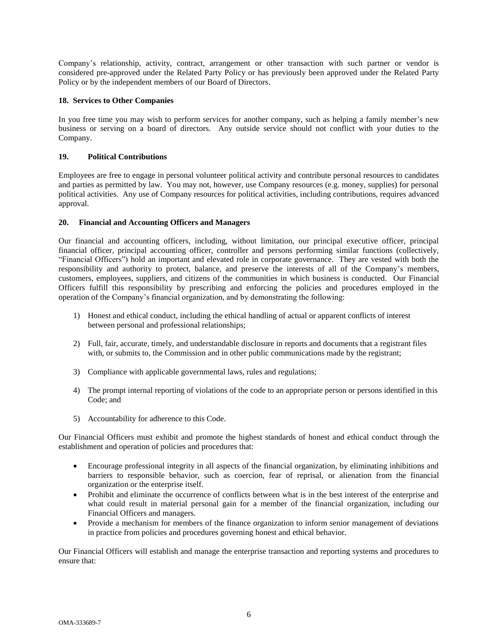Company's relationship, activity, contract, arrangement or other transaction with such partner or vendor is considered pre-approved under the Related Party Policy or has previously been approved under the Related Party Policy or by the independent members of our Board of Directors.

# **18. Services to Other Companies**

In you free time you may wish to perform services for another company, such as helping a family member's new business or serving on a board of directors. Any outside service should not conflict with your duties to the Company.

# **19. Political Contributions**

Employees are free to engage in personal volunteer political activity and contribute personal resources to candidates and parties as permitted by law. You may not, however, use Company resources (e.g. money, supplies) for personal political activities. Any use of Company resources for political activities, including contributions, requires advanced approval.

## **20. Financial and Accounting Officers and Managers**

Our financial and accounting officers, including, without limitation, our principal executive officer, principal financial officer, principal accounting officer, controller and persons performing similar functions (collectively, "Financial Officers") hold an important and elevated role in corporate governance. They are vested with both the responsibility and authority to protect, balance, and preserve the interests of all of the Company's members, customers, employees, suppliers, and citizens of the communities in which business is conducted. Our Financial Officers fulfill this responsibility by prescribing and enforcing the policies and procedures employed in the operation of the Company's financial organization, and by demonstrating the following:

- 1) Honest and ethical conduct, including the ethical handling of actual or apparent conflicts of interest between personal and professional relationships;
- 2) Full, fair, accurate, timely, and understandable disclosure in reports and documents that a registrant files with, or submits to, the Commission and in other public communications made by the registrant;
- 3) Compliance with applicable governmental laws, rules and regulations;
- 4) The prompt internal reporting of violations of the code to an appropriate person or persons identified in this Code; and
- 5) Accountability for adherence to this Code.

Our Financial Officers must exhibit and promote the highest standards of honest and ethical conduct through the establishment and operation of policies and procedures that:

- Encourage professional integrity in all aspects of the financial organization, by eliminating inhibitions and barriers to responsible behavior, such as coercion, fear of reprisal, or alienation from the financial organization or the enterprise itself.
- Prohibit and eliminate the occurrence of conflicts between what is in the best interest of the enterprise and what could result in material personal gain for a member of the financial organization, including our Financial Officers and managers.
- Provide a mechanism for members of the finance organization to inform senior management of deviations in practice from policies and procedures governing honest and ethical behavior.

Our Financial Officers will establish and manage the enterprise transaction and reporting systems and procedures to ensure that: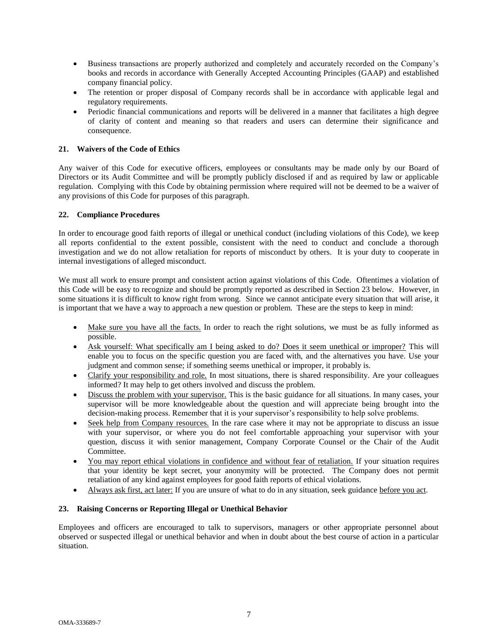- Business transactions are properly authorized and completely and accurately recorded on the Company's books and records in accordance with Generally Accepted Accounting Principles (GAAP) and established company financial policy.
- The retention or proper disposal of Company records shall be in accordance with applicable legal and regulatory requirements.
- Periodic financial communications and reports will be delivered in a manner that facilitates a high degree of clarity of content and meaning so that readers and users can determine their significance and consequence.

# **21. Waivers of the Code of Ethics**

Any waiver of this Code for executive officers, employees or consultants may be made only by our Board of Directors or its Audit Committee and will be promptly publicly disclosed if and as required by law or applicable regulation. Complying with this Code by obtaining permission where required will not be deemed to be a waiver of any provisions of this Code for purposes of this paragraph.

## **22. Compliance Procedures**

In order to encourage good faith reports of illegal or unethical conduct (including violations of this Code), we keep all reports confidential to the extent possible, consistent with the need to conduct and conclude a thorough investigation and we do not allow retaliation for reports of misconduct by others. It is your duty to cooperate in internal investigations of alleged misconduct.

We must all work to ensure prompt and consistent action against violations of this Code. Oftentimes a violation of this Code will be easy to recognize and should be promptly reported as described in Section 23 below. However, in some situations it is difficult to know right from wrong. Since we cannot anticipate every situation that will arise, it is important that we have a way to approach a new question or problem. These are the steps to keep in mind:

- Make sure you have all the facts. In order to reach the right solutions, we must be as fully informed as possible.
- Ask yourself: What specifically am I being asked to do? Does it seem unethical or improper? This will enable you to focus on the specific question you are faced with, and the alternatives you have. Use your judgment and common sense; if something seems unethical or improper, it probably is.
- Clarify your responsibility and role. In most situations, there is shared responsibility. Are your colleagues informed? It may help to get others involved and discuss the problem.
- Discuss the problem with your supervisor. This is the basic guidance for all situations. In many cases, your supervisor will be more knowledgeable about the question and will appreciate being brought into the decision-making process. Remember that it is your supervisor's responsibility to help solve problems.
- Seek help from Company resources. In the rare case where it may not be appropriate to discuss an issue with your supervisor, or where you do not feel comfortable approaching your supervisor with your question, discuss it with senior management, Company Corporate Counsel or the Chair of the Audit Committee.
- You may report ethical violations in confidence and without fear of retaliation. If your situation requires that your identity be kept secret, your anonymity will be protected. The Company does not permit retaliation of any kind against employees for good faith reports of ethical violations.
- Always ask first, act later: If you are unsure of what to do in any situation, seek guidance before you act.

## **23. Raising Concerns or Reporting Illegal or Unethical Behavior**

Employees and officers are encouraged to talk to supervisors, managers or other appropriate personnel about observed or suspected illegal or unethical behavior and when in doubt about the best course of action in a particular situation.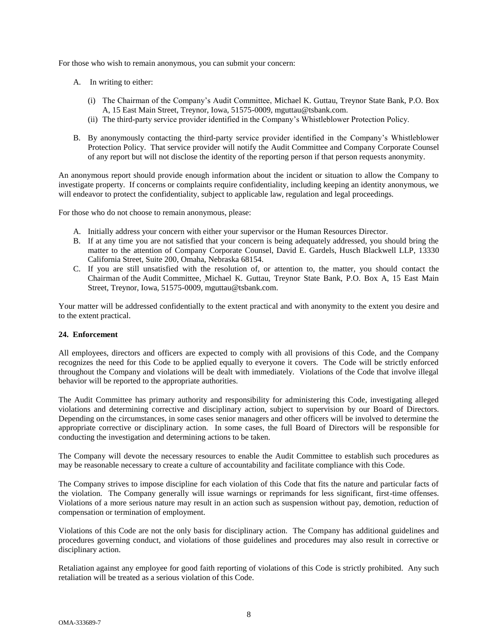For those who wish to remain anonymous, you can submit your concern:

- A. In writing to either:
	- (i) The Chairman of the Company's Audit Committee, Michael K. Guttau, Treynor State Bank, P.O. Box A, 15 East Main Street, Treynor, Iowa, 51575-0009, mguttau@tsbank.com.
	- (ii) The third-party service provider identified in the Company's Whistleblower Protection Policy.
- B. By anonymously contacting the third-party service provider identified in the Company's Whistleblower Protection Policy. That service provider will notify the Audit Committee and Company Corporate Counsel of any report but will not disclose the identity of the reporting person if that person requests anonymity.

An anonymous report should provide enough information about the incident or situation to allow the Company to investigate property. If concerns or complaints require confidentiality, including keeping an identity anonymous, we will endeavor to protect the confidentiality, subject to applicable law, regulation and legal proceedings.

For those who do not choose to remain anonymous, please:

- A. Initially address your concern with either your supervisor or the Human Resources Director.
- B. If at any time you are not satisfied that your concern is being adequately addressed, you should bring the matter to the attention of Company Corporate Counsel, David E. Gardels, Husch Blackwell LLP, 13330 California Street, Suite 200, Omaha, Nebraska 68154.
- C. If you are still unsatisfied with the resolution of, or attention to, the matter, you should contact the Chairman of the Audit Committee, Michael K. Guttau, Treynor State Bank, P.O. Box A, 15 East Main Street, Treynor, Iowa, 51575-0009, mguttau@tsbank.com.

Your matter will be addressed confidentially to the extent practical and with anonymity to the extent you desire and to the extent practical.

## **24. Enforcement**

All employees, directors and officers are expected to comply with all provisions of this Code, and the Company recognizes the need for this Code to be applied equally to everyone it covers. The Code will be strictly enforced throughout the Company and violations will be dealt with immediately. Violations of the Code that involve illegal behavior will be reported to the appropriate authorities.

The Audit Committee has primary authority and responsibility for administering this Code, investigating alleged violations and determining corrective and disciplinary action, subject to supervision by our Board of Directors. Depending on the circumstances, in some cases senior managers and other officers will be involved to determine the appropriate corrective or disciplinary action. In some cases, the full Board of Directors will be responsible for conducting the investigation and determining actions to be taken.

The Company will devote the necessary resources to enable the Audit Committee to establish such procedures as may be reasonable necessary to create a culture of accountability and facilitate compliance with this Code.

The Company strives to impose discipline for each violation of this Code that fits the nature and particular facts of the violation. The Company generally will issue warnings or reprimands for less significant, first-time offenses. Violations of a more serious nature may result in an action such as suspension without pay, demotion, reduction of compensation or termination of employment.

Violations of this Code are not the only basis for disciplinary action. The Company has additional guidelines and procedures governing conduct, and violations of those guidelines and procedures may also result in corrective or disciplinary action.

Retaliation against any employee for good faith reporting of violations of this Code is strictly prohibited. Any such retaliation will be treated as a serious violation of this Code.